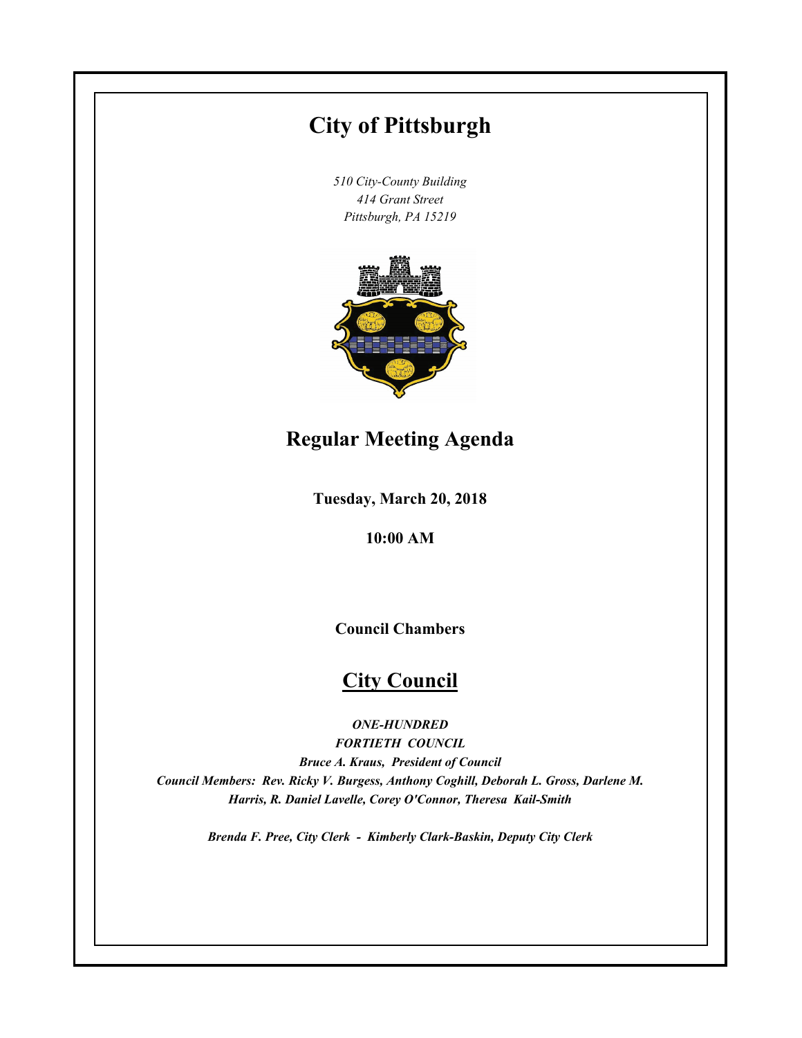# **City of Pittsburgh**

*510 City-County Building 414 Grant Street Pittsburgh, PA 15219*



# **Regular Meeting Agenda**

**Tuesday, March 20, 2018**

**10:00 AM**

**Council Chambers**

# **City Council**

*ONE-HUNDRED*

*FORTIETH COUNCIL Bruce A. Kraus, President of Council Council Members: Rev. Ricky V. Burgess, Anthony Coghill, Deborah L. Gross, Darlene M. Harris, R. Daniel Lavelle, Corey O'Connor, Theresa Kail-Smith*

*Brenda F. Pree, City Clerk - Kimberly Clark-Baskin, Deputy City Clerk*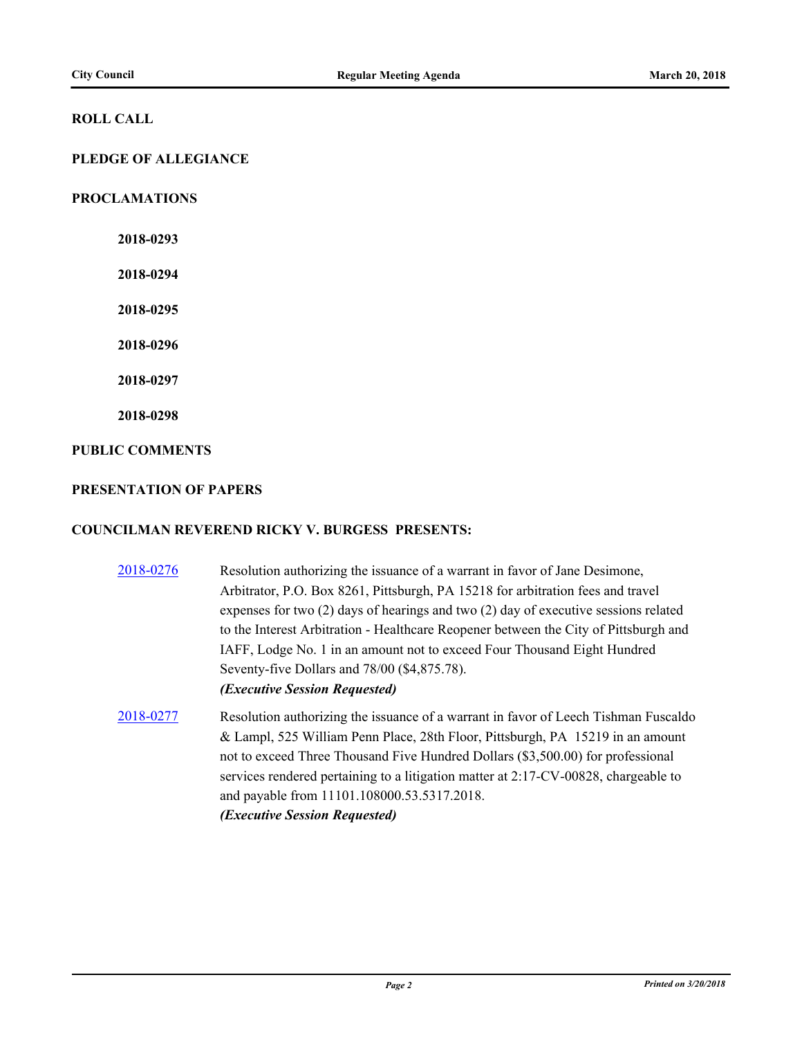#### **ROLL CALL**

# **PLEDGE OF ALLEGIANCE**

#### **PROCLAMATIONS**

**2018-0293**

**2018-0294**

**2018-0295**

**2018-0296**

**2018-0297**

**2018-0298**

#### **PUBLIC COMMENTS**

#### **PRESENTATION OF PAPERS**

#### **COUNCILMAN REVEREND RICKY V. BURGESS PRESENTS:**

- [2018-0276](http://pittsburgh.legistar.com/gateway.aspx?m=l&id=/matter.aspx?key=22586) Resolution authorizing the issuance of a warrant in favor of Jane Desimone, Arbitrator, P.O. Box 8261, Pittsburgh, PA 15218 for arbitration fees and travel expenses for two (2) days of hearings and two (2) day of executive sessions related to the Interest Arbitration - Healthcare Reopener between the City of Pittsburgh and IAFF, Lodge No. 1 in an amount not to exceed Four Thousand Eight Hundred Seventy-five Dollars and 78/00 (\$4,875.78). *(Executive Session Requested)*
- [2018-0277](http://pittsburgh.legistar.com/gateway.aspx?m=l&id=/matter.aspx?key=22587) Resolution authorizing the issuance of a warrant in favor of Leech Tishman Fuscaldo & Lampl, 525 William Penn Place, 28th Floor, Pittsburgh, PA 15219 in an amount not to exceed Three Thousand Five Hundred Dollars (\$3,500.00) for professional services rendered pertaining to a litigation matter at 2:17-CV-00828, chargeable to and payable from 11101.108000.53.5317.2018. *(Executive Session Requested)*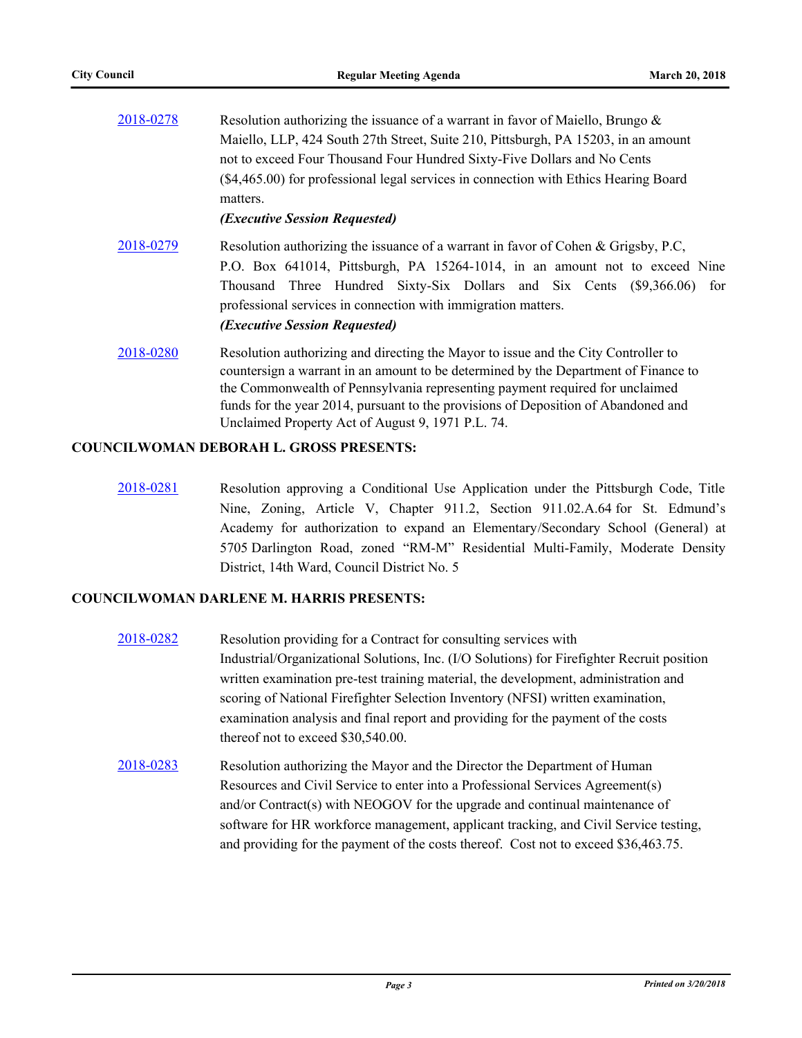| 2018-0278 | Resolution authorizing the issuance of a warrant in favor of Maiello, Brungo $\&$                                                                                         |  |  |
|-----------|---------------------------------------------------------------------------------------------------------------------------------------------------------------------------|--|--|
|           | Maiello, LLP, 424 South 27th Street, Suite 210, Pittsburgh, PA 15203, in an amount                                                                                        |  |  |
|           | not to exceed Four Thousand Four Hundred Sixty-Five Dollars and No Cents                                                                                                  |  |  |
|           | (\$4,465.00) for professional legal services in connection with Ethics Hearing Board<br>matters.                                                                          |  |  |
|           | <i><b>(Executive Session Requested)</b></i>                                                                                                                               |  |  |
| 2018-0279 | Resolution authorizing the issuance of a warrant in favor of Cohen & Grigsby, P.C.                                                                                        |  |  |
|           | P.O. Box 641014, Pittsburgh, PA 15264-1014, in an amount not to exceed Nine                                                                                               |  |  |
|           | Thousand Three Hundred Sixty-Six Dollars and Six Cents (\$9,366.06)<br>for                                                                                                |  |  |
|           | professional services in connection with immigration matters.                                                                                                             |  |  |
|           | (Executive Session Requested)                                                                                                                                             |  |  |
| 2018-0280 | Resolution authorizing and directing the Mayor to issue and the City Controller to<br>countersign a warrant in an amount to be determined by the Department of Finance to |  |  |
|           | the Commonwealth of Pennsylvania representing payment required for unclaimed                                                                                              |  |  |
|           | funds for the year 2014, pursuant to the provisions of Deposition of Abandoned and                                                                                        |  |  |
|           | Unclaimed Property Act of August 9, 1971 P.L. 74.                                                                                                                         |  |  |

#### **COUNCILWOMAN DEBORAH L. GROSS PRESENTS:**

[2018-0281](http://pittsburgh.legistar.com/gateway.aspx?m=l&id=/matter.aspx?key=22591) Resolution approving a Conditional Use Application under the Pittsburgh Code, Title Nine, Zoning, Article V, Chapter 911.2, Section 911.02.A.64 for St. Edmund's Academy for authorization to expand an Elementary/Secondary School (General) at 5705 Darlington Road, zoned "RM-M" Residential Multi-Family, Moderate Density District, 14th Ward, Council District No. 5

# **COUNCILWOMAN DARLENE M. HARRIS PRESENTS:**

- [2018-0282](http://pittsburgh.legistar.com/gateway.aspx?m=l&id=/matter.aspx?key=22592) Resolution providing for a Contract for consulting services with Industrial/Organizational Solutions, Inc. (I/O Solutions) for Firefighter Recruit position written examination pre-test training material, the development, administration and scoring of National Firefighter Selection Inventory (NFSI) written examination, examination analysis and final report and providing for the payment of the costs thereof not to exceed \$30,540.00.
- [2018-0283](http://pittsburgh.legistar.com/gateway.aspx?m=l&id=/matter.aspx?key=22593) Resolution authorizing the Mayor and the Director the Department of Human Resources and Civil Service to enter into a Professional Services Agreement(s) and/or Contract(s) with NEOGOV for the upgrade and continual maintenance of software for HR workforce management, applicant tracking, and Civil Service testing, and providing for the payment of the costs thereof. Cost not to exceed \$36,463.75.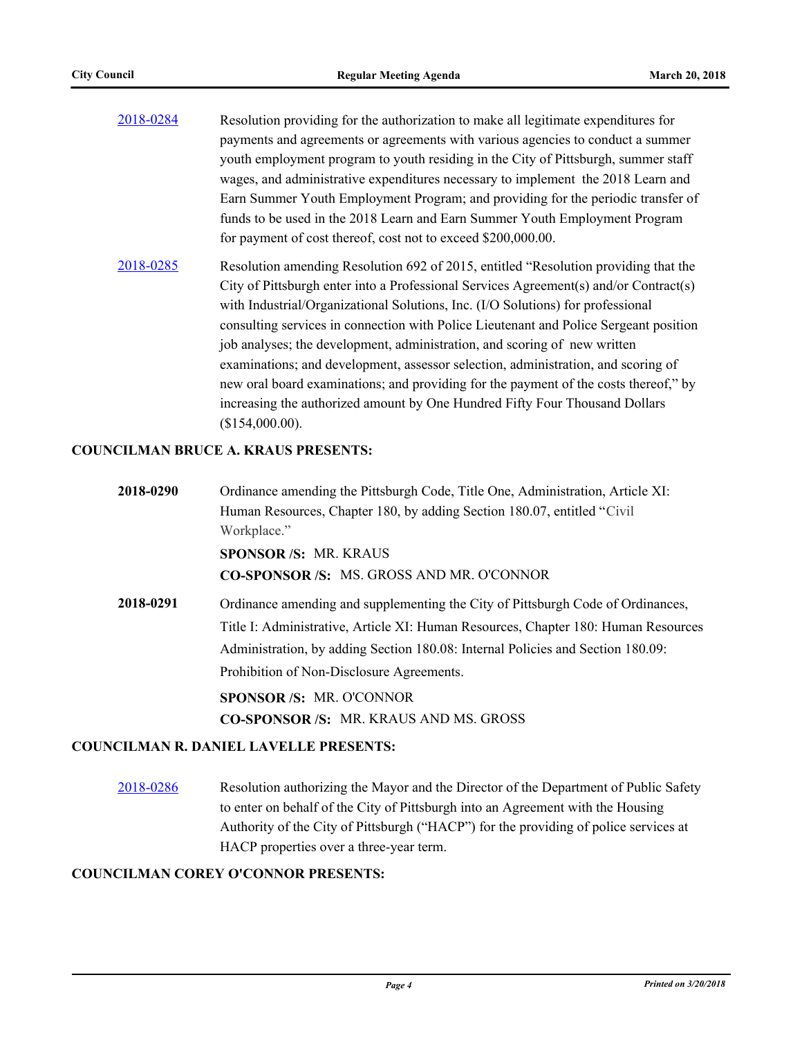| 2018-0284 | Resolution providing for the authorization to make all legitimate expenditures for |
|-----------|------------------------------------------------------------------------------------|
|           | payments and agreements or agreements with various agencies to conduct a summer    |
|           | youth employment program to youth residing in the City of Pittsburgh, summer staff |
|           | wages, and administrative expenditures necessary to implement the 2018 Learn and   |
|           | Earn Summer Youth Employment Program; and providing for the periodic transfer of   |
|           | funds to be used in the 2018 Learn and Earn Summer Youth Employment Program        |
|           | for payment of cost thereof, cost not to exceed \$200,000.00.                      |

[2018-0285](http://pittsburgh.legistar.com/gateway.aspx?m=l&id=/matter.aspx?key=22595) Resolution amending Resolution 692 of 2015, entitled "Resolution providing that the City of Pittsburgh enter into a Professional Services Agreement(s) and/or Contract(s) with Industrial/Organizational Solutions, Inc. (I/O Solutions) for professional consulting services in connection with Police Lieutenant and Police Sergeant position job analyses; the development, administration, and scoring of new written examinations; and development, assessor selection, administration, and scoring of new oral board examinations; and providing for the payment of the costs thereof," by increasing the authorized amount by One Hundred Fifty Four Thousand Dollars (\$154,000.00).

#### **COUNCILMAN BRUCE A. KRAUS PRESENTS:**

**2018-0290** Ordinance amending the Pittsburgh Code, Title One, Administration, Article XI: Human Resources, Chapter 180, by adding Section 180.07, entitled "Civil Workplace." **SPONSOR /S:** MR. KRAUS **CO-SPONSOR /S:** MS. GROSS AND MR. O'CONNOR **2018-0291** Ordinance amending and supplementing the City of Pittsburgh Code of Ordinances, Title I: Administrative, Article XI: Human Resources, Chapter 180: Human Resources Administration, by adding Section 180.08: Internal Policies and Section 180.09: Prohibition of Non-Disclosure Agreements. **SPONSOR /S:** MR. O'CONNOR **CO-SPONSOR /S:** MR. KRAUS AND MS. GROSS

## **COUNCILMAN R. DANIEL LAVELLE PRESENTS:**

[2018-0286](http://pittsburgh.legistar.com/gateway.aspx?m=l&id=/matter.aspx?key=22596) Resolution authorizing the Mayor and the Director of the Department of Public Safety to enter on behalf of the City of Pittsburgh into an Agreement with the Housing Authority of the City of Pittsburgh ("HACP") for the providing of police services at HACP properties over a three-year term.

#### **COUNCILMAN COREY O'CONNOR PRESENTS:**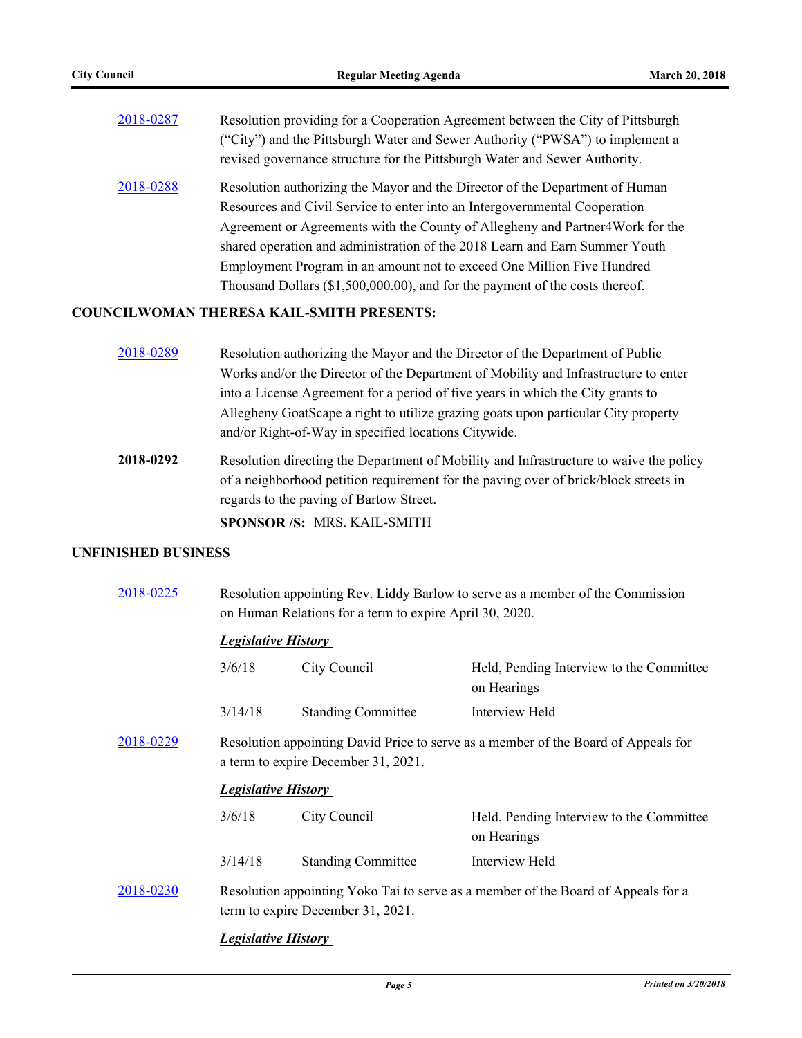| 2018-0287 | Resolution providing for a Cooperation Agreement between the City of Pittsburgh<br>("City") and the Pittsburgh Water and Sewer Authority ("PWSA") to implement a<br>revised governance structure for the Pittsburgh Water and Sewer Authority. |
|-----------|------------------------------------------------------------------------------------------------------------------------------------------------------------------------------------------------------------------------------------------------|
| 2018-0288 | Resolution authorizing the Mayor and the Director of the Department of Human<br>Resources and Civil Service to enter into an Intergovernmental Cooperation<br>Agreement or Agreements with the County of Allegheny and Partner 4 Work for the  |
|           | shared operation and administration of the 2018 Learn and Earn Summer Youth                                                                                                                                                                    |
|           | Employment Program in an amount not to exceed One Million Five Hundred                                                                                                                                                                         |
|           | Thousand Dollars (\$1,500,000.00), and for the payment of the costs thereof.                                                                                                                                                                   |

# **COUNCILWOMAN THERESA KAIL-SMITH PRESENTS:**

| 2018-0289 | Resolution authorizing the Mayor and the Director of the Department of Public       |
|-----------|-------------------------------------------------------------------------------------|
|           | Works and/or the Director of the Department of Mobility and Infrastructure to enter |
|           | into a License Agreement for a period of five years in which the City grants to     |
|           | Allegheny GoatScape a right to utilize grazing goats upon particular City property  |
|           | and/or Right-of-Way in specified locations Citywide.                                |

**2018-0292** Resolution directing the Department of Mobility and Infrastructure to waive the policy of a neighborhood petition requirement for the paving over of brick/block streets in regards to the paving of Bartow Street.

**SPONSOR /S:** MRS. KAIL-SMITH

## **UNFINISHED BUSINESS**

| 2018-0225 |                                                                                                                           | Resolution appointing Rev. Liddy Barlow to serve as a member of the Commission<br>on Human Relations for a term to expire April 30, 2020. |                                                         |  |
|-----------|---------------------------------------------------------------------------------------------------------------------------|-------------------------------------------------------------------------------------------------------------------------------------------|---------------------------------------------------------|--|
|           | <b>Legislative History</b>                                                                                                |                                                                                                                                           |                                                         |  |
|           | 3/6/18                                                                                                                    | City Council                                                                                                                              | Held, Pending Interview to the Committee<br>on Hearings |  |
|           | 3/14/18                                                                                                                   | <b>Standing Committee</b>                                                                                                                 | Interview Held                                          |  |
| 2018-0229 | Resolution appointing David Price to serve as a member of the Board of Appeals for<br>a term to expire December 31, 2021. |                                                                                                                                           |                                                         |  |
|           | <b>Legislative History</b>                                                                                                |                                                                                                                                           |                                                         |  |
|           | 3/6/18                                                                                                                    | City Council                                                                                                                              | Held, Pending Interview to the Committee<br>on Hearings |  |
|           | 3/14/18                                                                                                                   | <b>Standing Committee</b>                                                                                                                 | Interview Held                                          |  |
| 2018-0230 | Resolution appointing Yoko Tai to serve as a member of the Board of Appeals for a<br>term to expire December 31, 2021.    |                                                                                                                                           |                                                         |  |

*Legislative History*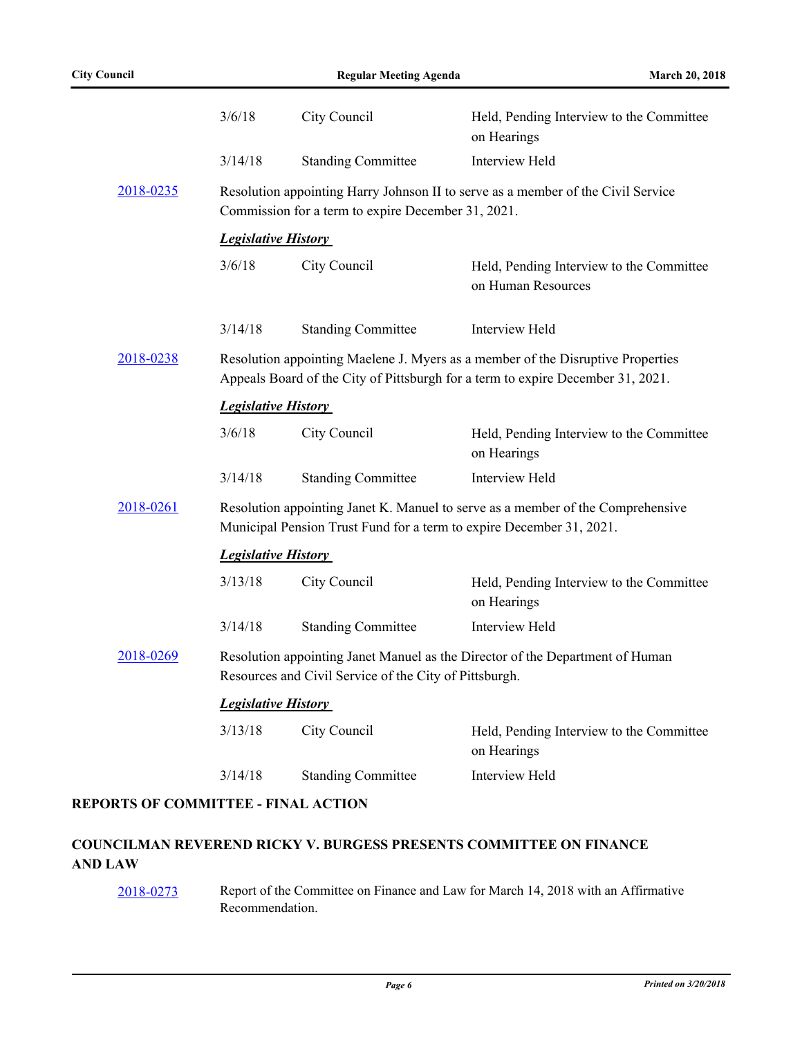|           | 3/6/18                                                                                                                                                             | City Council              | Held, Pending Interview to the Committee<br>on Hearings        |
|-----------|--------------------------------------------------------------------------------------------------------------------------------------------------------------------|---------------------------|----------------------------------------------------------------|
|           | 3/14/18                                                                                                                                                            | <b>Standing Committee</b> | Interview Held                                                 |
| 2018-0235 | Resolution appointing Harry Johnson II to serve as a member of the Civil Service<br>Commission for a term to expire December 31, 2021.                             |                           |                                                                |
|           | <b>Legislative History</b>                                                                                                                                         |                           |                                                                |
|           | 3/6/18                                                                                                                                                             | City Council              | Held, Pending Interview to the Committee<br>on Human Resources |
|           | 3/14/18                                                                                                                                                            | <b>Standing Committee</b> | Interview Held                                                 |
| 2018-0238 | Resolution appointing Maelene J. Myers as a member of the Disruptive Properties<br>Appeals Board of the City of Pittsburgh for a term to expire December 31, 2021. |                           |                                                                |
|           | <b>Legislative History</b>                                                                                                                                         |                           |                                                                |
|           | 3/6/18                                                                                                                                                             | City Council              | Held, Pending Interview to the Committee<br>on Hearings        |
|           | 3/14/18                                                                                                                                                            | <b>Standing Committee</b> | Interview Held                                                 |
| 2018-0261 | Resolution appointing Janet K. Manuel to serve as a member of the Comprehensive<br>Municipal Pension Trust Fund for a term to expire December 31, 2021.            |                           |                                                                |
|           | <b>Legislative History</b>                                                                                                                                         |                           |                                                                |
|           | 3/13/18                                                                                                                                                            | City Council              | Held, Pending Interview to the Committee<br>on Hearings        |
|           | 3/14/18                                                                                                                                                            | <b>Standing Committee</b> | Interview Held                                                 |
| 2018-0269 | Resolution appointing Janet Manuel as the Director of the Department of Human<br>Resources and Civil Service of the City of Pittsburgh.                            |                           |                                                                |
|           | <b>Legislative History</b>                                                                                                                                         |                           |                                                                |
|           | 3/13/18                                                                                                                                                            | City Council              | Held, Pending Interview to the Committee<br>on Hearings        |
|           | 3/14/18                                                                                                                                                            | <b>Standing Committee</b> | Interview Held                                                 |

# **REPORTS OF COMMITTEE - FINAL ACTION**

# **COUNCILMAN REVEREND RICKY V. BURGESS PRESENTS COMMITTEE ON FINANCE AND LAW**

[2018-0273](http://pittsburgh.legistar.com/gateway.aspx?m=l&id=/matter.aspx?key=22583) Report of the Committee on Finance and Law for March 14, 2018 with an Affirmative Recommendation.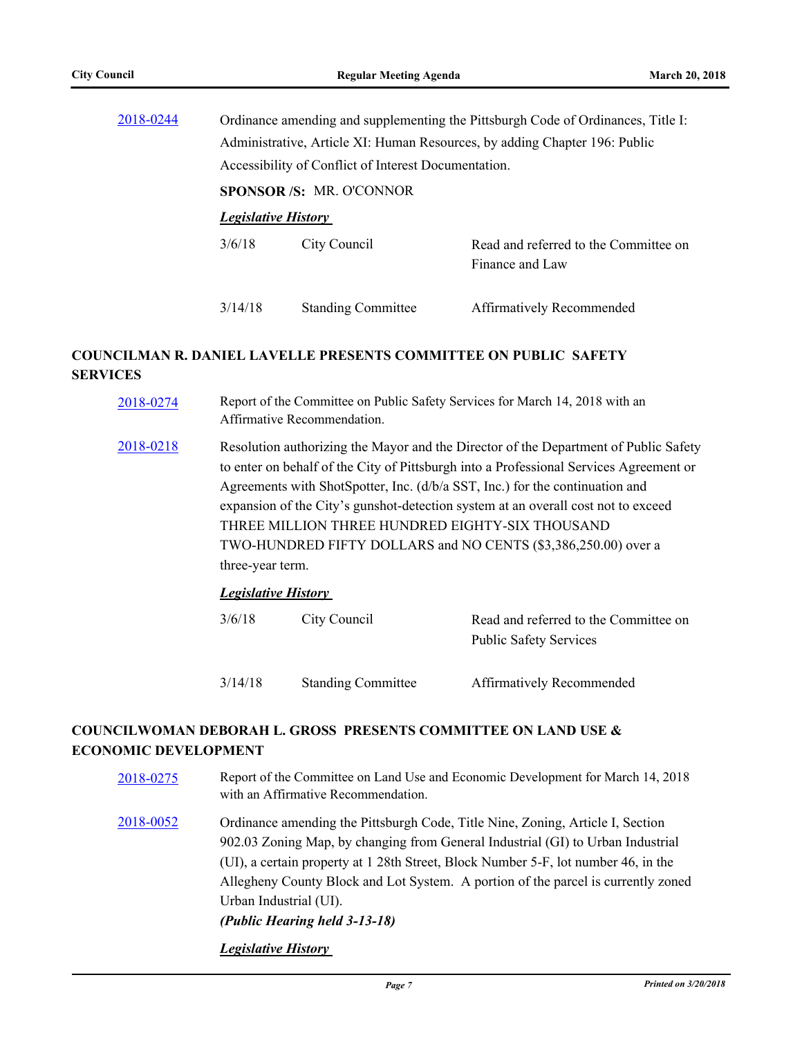| 2018-0244 | Ordinance amending and supplementing the Pittsburgh Code of Ordinances, Title I: |                           |                                                          |
|-----------|----------------------------------------------------------------------------------|---------------------------|----------------------------------------------------------|
|           | Administrative, Article XI: Human Resources, by adding Chapter 196: Public       |                           |                                                          |
|           | Accessibility of Conflict of Interest Documentation.                             |                           |                                                          |
|           | <b>SPONSOR/S: MR. O'CONNOR</b>                                                   |                           |                                                          |
|           | <b>Legislative History</b>                                                       |                           |                                                          |
|           | 3/6/18                                                                           | City Council              | Read and referred to the Committee on<br>Finance and Law |
|           |                                                                                  |                           |                                                          |
|           | 3/14/18                                                                          | <b>Standing Committee</b> | Affirmatively Recommended                                |
|           |                                                                                  |                           |                                                          |

# **COUNCILMAN R. DANIEL LAVELLE PRESENTS COMMITTEE ON PUBLIC SAFETY SERVICES**

| 2018-0274 | Report of the Committee on Public Safety Services for March 14, 2018 with an<br>Affirmative Recommendation.                                                                                                                                                                                                                                                                                                                                                                                                                |
|-----------|----------------------------------------------------------------------------------------------------------------------------------------------------------------------------------------------------------------------------------------------------------------------------------------------------------------------------------------------------------------------------------------------------------------------------------------------------------------------------------------------------------------------------|
| 2018-0218 | Resolution authorizing the Mayor and the Director of the Department of Public Safety<br>to enter on behalf of the City of Pittsburgh into a Professional Services Agreement or<br>Agreements with ShotSpotter, Inc. (d/b/a SST, Inc.) for the continuation and<br>expansion of the City's gunshot-detection system at an overall cost not to exceed<br>THREE MILLION THREE HUNDRED EIGHTY-SIX THOUSAND<br>TWO-HUNDRED FIFTY DOLLARS and NO CENTS (\$3,386,250.00) over a<br>three-year term.<br><i>Legislative History</i> |
|           |                                                                                                                                                                                                                                                                                                                                                                                                                                                                                                                            |

| 3/6/18  | City Council              | Read and referred to the Committee on<br><b>Public Safety Services</b> |
|---------|---------------------------|------------------------------------------------------------------------|
| 3/14/18 | <b>Standing Committee</b> | Affirmatively Recommended                                              |

# **COUNCILWOMAN DEBORAH L. GROSS PRESENTS COMMITTEE ON LAND USE & ECONOMIC DEVELOPMENT**

- [2018-0275](http://pittsburgh.legistar.com/gateway.aspx?m=l&id=/matter.aspx?key=22585) Report of the Committee on Land Use and Economic Development for March 14, 2018 with an Affirmative Recommendation.
- [2018-0052](http://pittsburgh.legistar.com/gateway.aspx?m=l&id=/matter.aspx?key=22351) Ordinance amending the Pittsburgh Code, Title Nine, Zoning, Article I, Section 902.03 Zoning Map, by changing from General Industrial (GI) to Urban Industrial (UI), a certain property at 1 28th Street, Block Number 5-F, lot number 46, in the Allegheny County Block and Lot System. A portion of the parcel is currently zoned Urban Industrial (UI). *(Public Hearing held 3-13-18)*

*Legislative History*